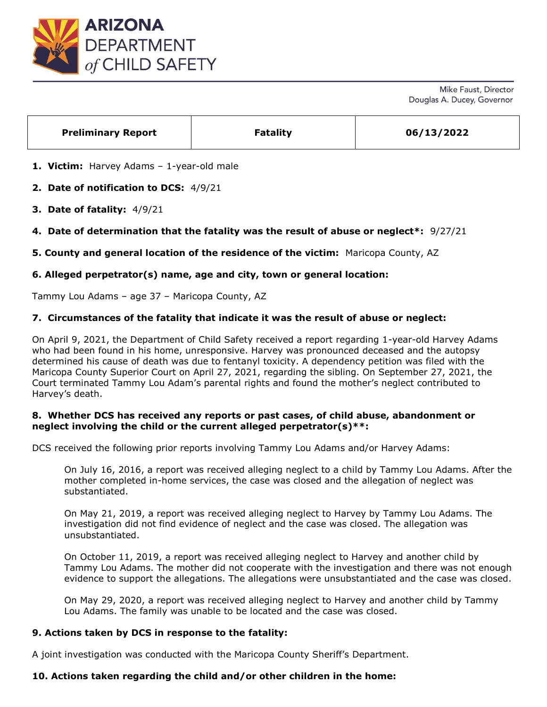

| <b>Preliminary Report</b><br><b>Fatality</b><br>06/13/2022 |
|------------------------------------------------------------|
|------------------------------------------------------------|

**1. Victim:** Harvey Adams – 1-year-old male

**2. Date of notification to DCS:** 4/9/21

- **3. Date of fatality:** 4/9/21
- **4. Date of determination that the fatality was the result of abuse or neglect\*:** 9/27/21

**5. County and general location of the residence of the victim:** Maricopa County, AZ

# **6. Alleged perpetrator(s) name, age and city, town or general location:**

Tammy Lou Adams – age 37 – Maricopa County, AZ

#### **7. Circumstances of the fatality that indicate it was the result of abuse or neglect:**

On April 9, 2021, the Department of Child Safety received a report regarding 1-year-old Harvey Adams who had been found in his home, unresponsive. Harvey was pronounced deceased and the autopsy determined his cause of death was due to fentanyl toxicity. A dependency petition was filed with the Maricopa County Superior Court on April 27, 2021, regarding the sibling. On September 27, 2021, the Court terminated Tammy Lou Adam's parental rights and found the mother's neglect contributed to Harvey's death.

#### **8. Whether DCS has received any reports or past cases, of child abuse, abandonment or neglect involving the child or the current alleged perpetrator(s)\*\*:**

DCS received the following prior reports involving Tammy Lou Adams and/or Harvey Adams:

On July 16, 2016, a report was received alleging neglect to a child by Tammy Lou Adams. After the mother completed in-home services, the case was closed and the allegation of neglect was substantiated.

On May 21, 2019, a report was received alleging neglect to Harvey by Tammy Lou Adams. The investigation did not find evidence of neglect and the case was closed. The allegation was unsubstantiated.

On October 11, 2019, a report was received alleging neglect to Harvey and another child by Tammy Lou Adams. The mother did not cooperate with the investigation and there was not enough evidence to support the allegations. The allegations were unsubstantiated and the case was closed.

On May 29, 2020, a report was received alleging neglect to Harvey and another child by Tammy Lou Adams. The family was unable to be located and the case was closed.

# **9. Actions taken by DCS in response to the fatality:**

A joint investigation was conducted with the Maricopa County Sheriff's Department.

### **10. Actions taken regarding the child and/or other children in the home:**